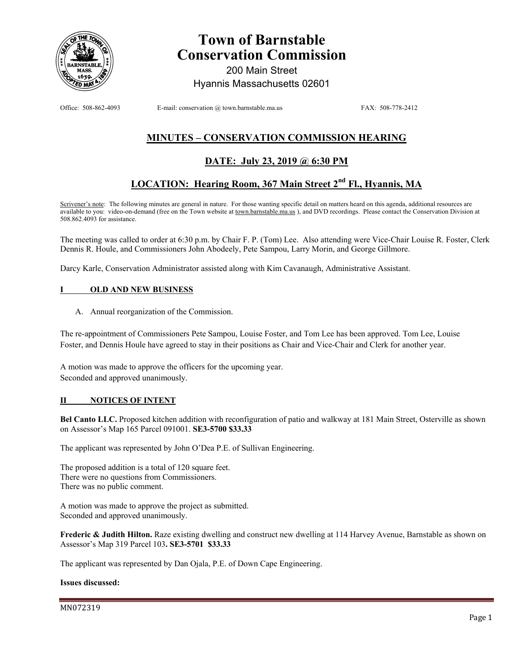

# **Town of Barnstable Conservation Commission**

200 Main Street Hyannis Massachusetts 02601

Office: 508-862-4093 E-mail: conservation @ town.barnstable.ma.us FAX: 508-778-2412

# **MINUTES – CONSERVATION COMMISSION HEARING**

# **DATE: July 23, 2019 @ 6:30 PM**

# LOCATION: Hearing Room, 367 Main Street 2<sup>nd</sup> Fl., Hyannis, MA

Scrivener's note: The following minutes are general in nature. For those wanting specific detail on matters heard on this agenda, additional resources are available to you: video-on-demand (free on the Town website at town.barnstable.ma.us), and DVD recordings. Please contact the Conservation Division at 508.862.4093 for assistance.

The meeting was called to order at 6:30 p.m. by Chair F. P. (Tom) Lee. Also attending were Vice-Chair Louise R. Foster, Clerk Dennis R. Houle, and Commissioners John Abodeely, Pete Sampou, Larry Morin, and George Gillmore.

Darcy Karle, Conservation Administrator assisted along with Kim Cavanaugh, Administrative Assistant.

### **OLD AND NEW BUSINESS**

A. Annual reorganization of the Commission.

The re-appointment of Commissioners Pete Sampou, Louise Foster, and Tom Lee has been approved. Tom Lee, Louise Foster, and Dennis Houle have agreed to stay in their positions as Chair and Vice-Chair and Clerk for another year.

A motion was made to approve the officers for the upcoming year. Seconded and approved unanimously.

### **II NOTICES OF INTENT**

**Bel Canto LLC.** Proposed kitchen addition with reconfiguration of patio and walkway at 181 Main Street, Osterville as shown on Assessor's Map 165 Parcel 091001. **SE3-5700 \$33.33**

The applicant was represented by John O'Dea P.E. of Sullivan Engineering.

The proposed addition is a total of 120 square feet. There were no questions from Commissioners. There was no public comment.

A motion was made to approve the project as submitted. Seconded and approved unanimously.

**Frederic & Judith Hilton.** Raze existing dwelling and construct new dwelling at 114 Harvey Avenue, Barnstable as shown on Assessor's Map 319 Parcel 103**. SE3-5701 \$33.33** 

The applicant was represented by Dan Ojala, P.E. of Down Cape Engineering.

#### **Issues discussed:**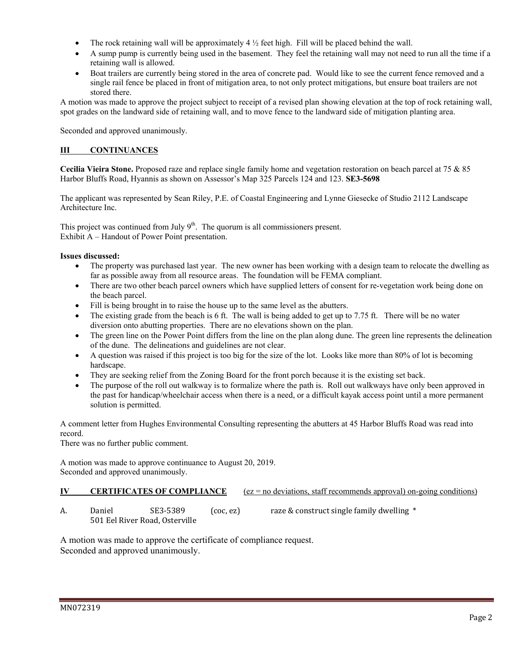- The rock retaining wall will be approximately  $4 \frac{1}{2}$  feet high. Fill will be placed behind the wall.
- A sump pump is currently being used in the basement. They feel the retaining wall may not need to run all the time if a retaining wall is allowed.
- Boat trailers are currently being stored in the area of concrete pad. Would like to see the current fence removed and a single rail fence be placed in front of mitigation area, to not only protect mitigations, but ensure boat trailers are not stored there.

A motion was made to approve the project subject to receipt of a revised plan showing elevation at the top of rock retaining wall, spot grades on the landward side of retaining wall, and to move fence to the landward side of mitigation planting area.

Seconded and approved unanimously.

## **III CONTINUANCES**

**Cecilia Vieira Stone.** Proposed raze and replace single family home and vegetation restoration on beach parcel at 75 & 85 Harbor Bluffs Road, Hyannis as shown on Assessor's Map 325 Parcels 124 and 123. **SE3-5698** 

The applicant was represented by Sean Riley, P.E. of Coastal Engineering and Lynne Giesecke of Studio 2112 Landscape Architecture Inc.

This project was continued from July  $9<sup>th</sup>$ . The quorum is all commissioners present. Exhibit A – Handout of Power Point presentation.

## **Issues discussed:**

- The property was purchased last year. The new owner has been working with a design team to relocate the dwelling as far as possible away from all resource areas. The foundation will be FEMA compliant.
- There are two other beach parcel owners which have supplied letters of consent for re-vegetation work being done on the beach parcel.
- Fill is being brought in to raise the house up to the same level as the abutters.
- $\bullet$  The existing grade from the beach is 6 ft. The wall is being added to get up to 7.75 ft. There will be no water diversion onto abutting properties. There are no elevations shown on the plan.
- The green line on the Power Point differs from the line on the plan along dune. The green line represents the delineation of the dune. The delineations and guidelines are not clear.
- A question was raised if this project is too big for the size of the lot. Looks like more than 80% of lot is becoming hardscape.
- They are seeking relief from the Zoning Board for the front porch because it is the existing set back.
- The purpose of the roll out walkway is to formalize where the path is. Roll out walkways have only been approved in the past for handicap/wheelchair access when there is a need, or a difficult kayak access point until a more permanent solution is permitted.

A comment letter from Hughes Environmental Consulting representing the abutters at 45 Harbor Bluffs Road was read into record.

There was no further public comment.

A motion was made to approve continuance to August 20, 2019. Seconded and approved unanimously.

### **IV** CERTIFICATES OF COMPLIANCE (ez = no deviations, staff recommends approval) on-going conditions)

A. Daniel SE3-5389 (coc, ez) raze & construct single family dwelling \* 501 Eel River Road, Osterville

A motion was made to approve the certificate of compliance request. Seconded and approved unanimously.